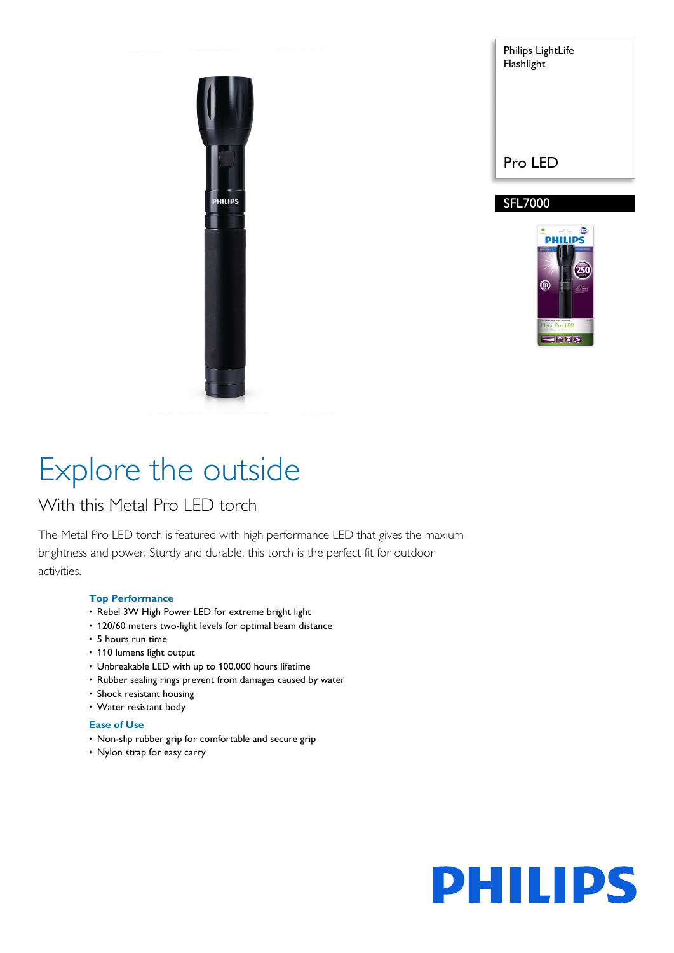

Philips LightLife Flashlight Pro LED

## SFL7000



# Explore the outside

## With this Metal Pro LED torch

The Metal Pro LED torch is featured with high performance LED that gives the maxium brightness and power. Sturdy and durable, this torch is the perfect fit for outdoor activities.

### **Top Performance**

- Rebel 3W High Power LED for extreme bright light
- 120/60 meters two-light levels for optimal beam distance
- 5 hours run time
- 110 lumens light output
- Unbreakable LED with up to 100.000 hours lifetime
- Rubber sealing rings prevent from damages caused by water
- Shock resistant housing
- Water resistant body

### **Ease of Use**

- Non-slip rubber grip for comfortable and secure grip
- Nylon strap for easy carry